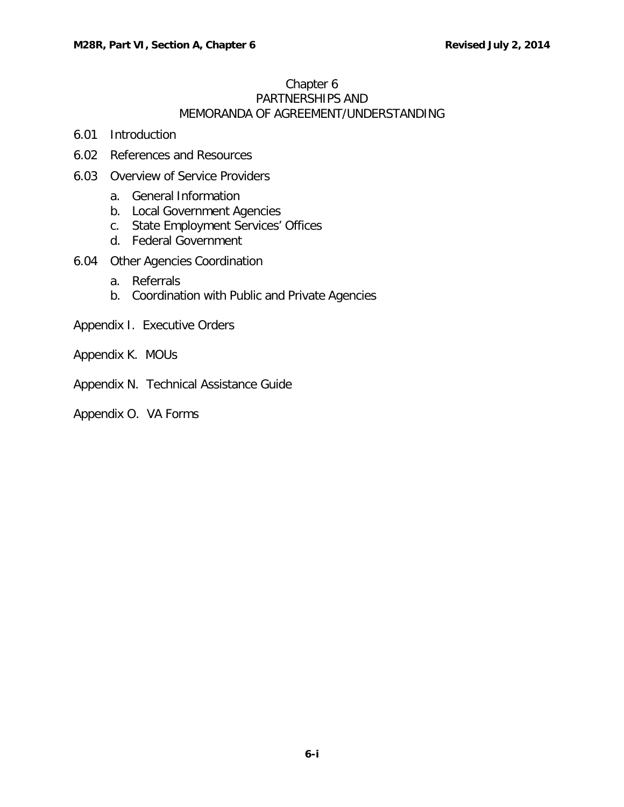## Chapter 6 PARTNERSHIPS AND MEMORANDA OF AGREEMENT/UNDERSTANDING

- 6.01 [Introduction](#page-1-0)
- 6.02 [References](#page-1-1) and Resources
- 6.03 [Overview](#page-2-0) of Service Providers
	- a. General [Information](#page-2-1)
	- b. Local [Government](#page-2-2) Agencies
	- c. [State Employment](#page-2-3) Services' Offices
	- d. Federal [Government](#page-3-0)
- 6.04 Other Agencies [Coordination](#page-3-1)
	- a. [Referrals](#page-3-2)
	- b. [Coordination](#page-4-0) with Public and Private Agencies
- Appendix I. Executive Orders
- Appendix K. MOUs
- Appendix N. Technical Assistance Guide
- Appendix O. VA Forms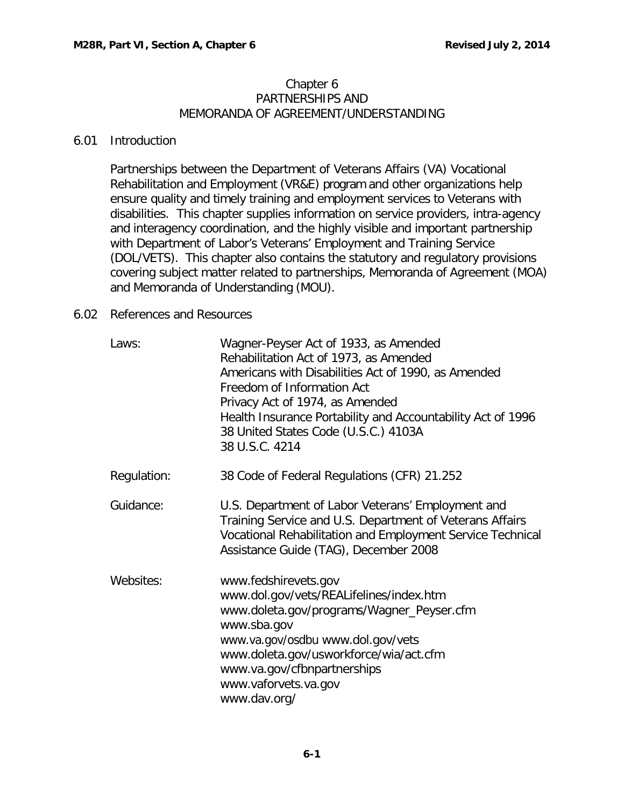#### Chapter 6 PARTNERSHIPS AND MEMORANDA OF AGREEMENT/UNDERSTANDING

## <span id="page-1-0"></span>6.01 Introduction

Partnerships between the Department of Veterans Affairs (VA) Vocational Rehabilitation and Employment (VR&E) program and other organizations help ensure quality and timely training and employment services to Veterans with disabilities. This chapter supplies information on service providers, intra-agency and interagency coordination, and the highly visible and important partnership with Department of Labor's Veterans' Employment and Training Service (DOL/VETS). This chapter also contains the statutory and regulatory provisions covering subject matter related to partnerships, Memoranda of Agreement (MOA) and Memoranda of Understanding (MOU).

## <span id="page-1-1"></span>6.02 References and Resources

| Laws:       | Wagner-Peyser Act of 1933, as Amended<br>Rehabilitation Act of 1973, as Amended<br>Americans with Disabilities Act of 1990, as Amended<br>Freedom of Information Act<br>Privacy Act of 1974, as Amended<br>Health Insurance Portability and Accountability Act of 1996<br>38 United States Code (U.S.C.) 4103A<br>38 U.S.C. 4214 |
|-------------|----------------------------------------------------------------------------------------------------------------------------------------------------------------------------------------------------------------------------------------------------------------------------------------------------------------------------------|
| Regulation: | 38 Code of Federal Regulations (CFR) 21.252                                                                                                                                                                                                                                                                                      |
| Guidance:   | U.S. Department of Labor Veterans' Employment and<br>Training Service and U.S. Department of Veterans Affairs<br>Vocational Rehabilitation and Employment Service Technical<br>Assistance Guide (TAG), December 2008                                                                                                             |
| Websites:   | www.fedshirevets.gov<br>www.dol.gov/vets/REALifelines/index.htm<br>www.doleta.gov/programs/Wagner_Peyser.cfm<br>www.sba.gov<br>www.va.gov/osdbu www.dol.gov/vets<br>www.doleta.gov/usworkforce/wia/act.cfm<br>www.va.gov/cfbnpartnerships<br>www.vaforvets.va.gov<br>www.dav.org/                                                |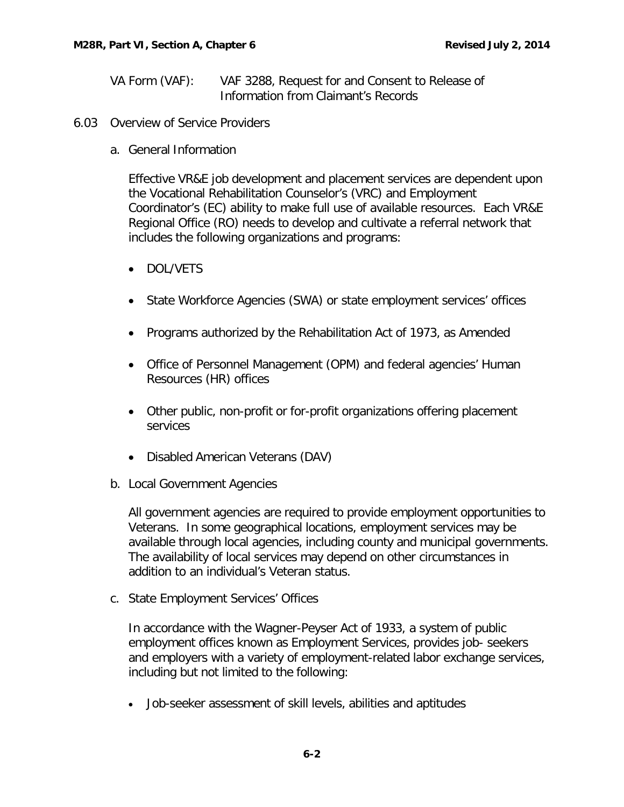- VA Form (VAF): VAF 3288, Request for and Consent to Release of Information from Claimant's Records
- <span id="page-2-1"></span><span id="page-2-0"></span>6.03 Overview of Service Providers
	- a. General Information

Effective VR&E job development and placement services are dependent upon the Vocational Rehabilitation Counselor's (VRC) and Employment Coordinator's (EC) ability to make full use of available resources. Each VR&E Regional Office (RO) needs to develop and cultivate a referral network that includes the following organizations and programs:

- DOL/VETS
- State Workforce Agencies (SWA) or state employment services' offices
- Programs authorized by the Rehabilitation Act of 1973, as Amended
- Office of Personnel Management (OPM) and federal agencies' Human Resources (HR) offices
- Other public, non-profit or for-profit organizations offering placement services
- Disabled American Veterans (DAV)
- <span id="page-2-2"></span>b. Local Government Agencies

All government agencies are required to provide employment opportunities to Veterans. In some geographical locations, employment services may be available through local agencies, including county and municipal governments. The availability of local services may depend on other circumstances in addition to an individual's Veteran status.

<span id="page-2-3"></span>c. State Employment Services' Offices

In accordance with the Wagner-Peyser Act of 1933, a system of public employment offices known as Employment Services, provides job- seekers and employers with a variety of employment-related labor exchange services, including but not limited to the following:

• Job-seeker assessment of skill levels, abilities and aptitudes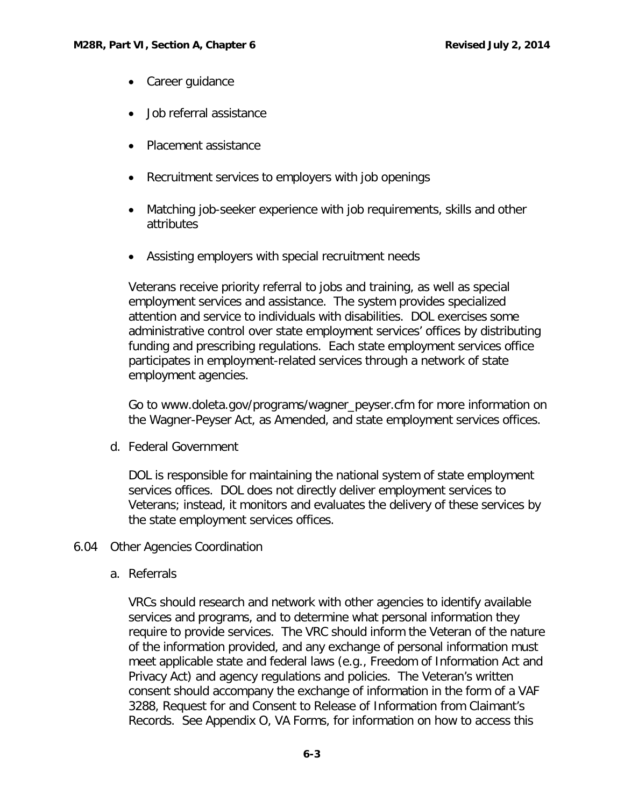- Career guidance
- Job referral assistance
- Placement assistance
- Recruitment services to employers with job openings
- Matching job-seeker experience with job requirements, skills and other attributes
- Assisting employers with special recruitment needs

Veterans receive priority referral to jobs and training, as well as special employment services and assistance. The system provides specialized attention and service to individuals with disabilities. DOL exercises some administrative control over state employment services' offices by distributing funding and prescribing regulations. Each state employment services office participates in employment-related services through a network of state employment agencies.

Go to [www.doleta.gov/programs/wagner\\_peyser.cfm](http://www.doleta.gov/programs/wagner_peyser.cfm) for more i[nformation](http://www.doleta.gov/programs/wagner_peyser.cfm) on the [Wagner-Peyser](http://www.doleta.gov/programs/wagner_peyser.cfm) Act, as Amended, and state employment services offices.

<span id="page-3-0"></span>d. Federal Government

DOL is responsible for maintaining the national system of state employment services offices. DOL does not directly deliver employment services to Veterans; instead, it monitors and evaluates the delivery of these services by the state employment services offices.

# <span id="page-3-2"></span><span id="page-3-1"></span>6.04 Other Agencies Coordination

a. Referrals

VRCs should research and network with other agencies to identify available services and programs, and to determine what personal information they require to provide services. The VRC should inform the Veteran of the nature of the information provided, and any exchange of personal information must meet applicable state and federal laws (e.g., Freedom of Information Act and Privacy Act) and agency regulations and policies. The Veteran's written consent should accompany the exchange of information in the form of a VAF 3288, Request for and Consent to Release of Information from Claimant's Records. See Appendix O, VA Forms, for information on how to access this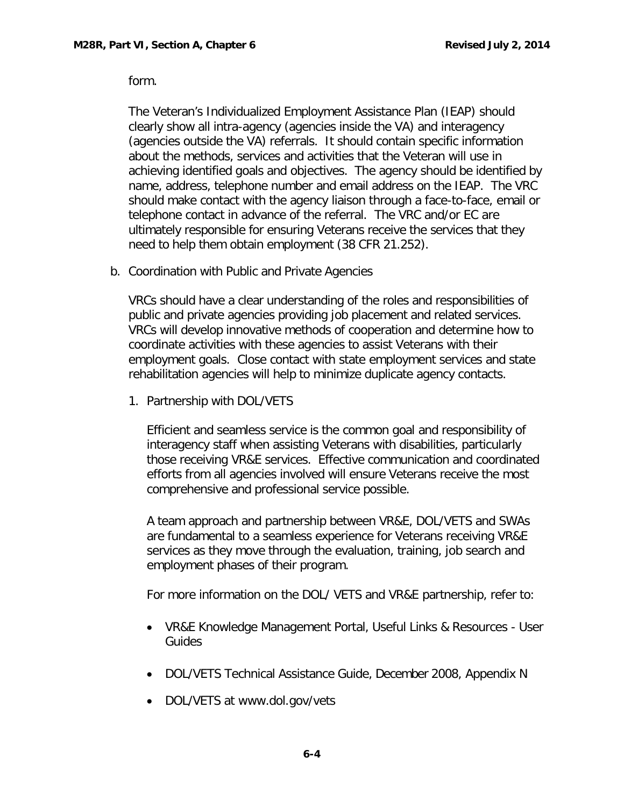form.

The Veteran's Individualized Employment Assistance Plan (IEAP) should clearly show all intra-agency (agencies inside the VA) and interagency (agencies outside the VA) referrals. It should contain specific information about the methods, services and activities that the Veteran will use in achieving identified goals and objectives. The agency should be identified by name, address, telephone number and email address on the IEAP. The VRC should make contact with the agency liaison through a face-to-face, email or telephone contact in advance of the referral. The VRC and/or EC are ultimately responsible for ensuring Veterans receive the services that they need to help them obtain employment (38 CFR 21.252).

<span id="page-4-0"></span>b. Coordination with Public and Private Agencies

VRCs should have a clear understanding of the roles and responsibilities of public and private agencies providing job placement and related services. VRCs will develop innovative methods of cooperation and determine how to coordinate activities with these agencies to assist Veterans with their employment goals. Close contact with state employment services and state rehabilitation agencies will help to minimize duplicate agency contacts.

1. Partnership with DOL/VETS

Efficient and seamless service is the common goal and responsibility of interagency staff when assisting Veterans with disabilities, particularly those receiving VR&E services. Effective communication and coordinated efforts from all agencies involved will ensure Veterans receive the most comprehensive and professional service possible.

A team approach and partnership between VR&E, DOL/VETS and SWAs are fundamental to a seamless experience for Veterans receiving VR&E services as they move through the evaluation, training, job search and employment phases of their program.

For more information on the DOL/ VETS and VR&E partnership, refer to:

- VR&E Knowledge Management Portal, Useful Links & Resources User Guides
- DOL/VETS Technical Assistance Guide, December 2008, Appendix N
- DOL/VETS at [www.dol.gov/vets](http://www.dol.gov/vets)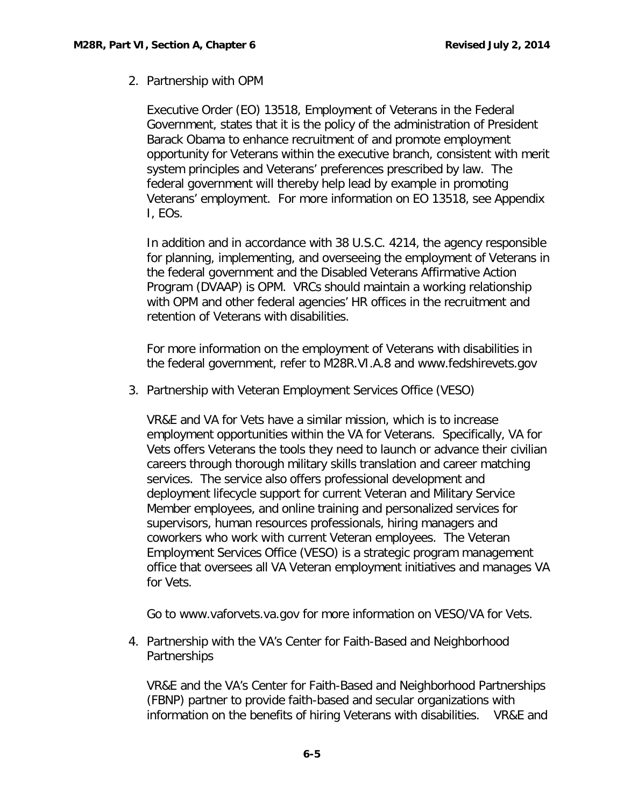# 2. Partnership with OPM

Executive Order (EO) 13518, Employment of Veterans in the Federal Government, states that it is the policy of the administration of President Barack Obama to enhance recruitment of and promote employment opportunity for Veterans within the executive branch, consistent with merit system principles and Veterans' preferences prescribed by law. The federal government will thereby help lead by example in promoting Veterans' employment. For more information on EO 13518, see Appendix I, EOs.

In addition and in accordance with 38 U.S.C. 4214, the agency responsible for planning, implementing, and overseeing the employment of Veterans in the federal government and the Disabled Veterans Affirmative Action Program (DVAAP) is OPM. VRCs should maintain a working relationship with OPM and other federal agencies' HR offices in the recruitment and retention of [Veterans](http://www.fedshirevets.gov/) with disabilities.

For more information on the employment of Veterans with disabilities in the federal government, refer to M28R.VI.A.8 and [www.fedshirevets.gov](http://www.fedshirevets.gov/)

3. Partnership with Veteran Employment Services Office (VESO)

VR&E and VA for Vets have a similar mission, which is to increase employment opportunities within the VA for Veterans. Specifically, VA for Vets offers Veterans the tools they need to launch or advance their civilian careers through thorough military skills translation and career matching services. The service also offers professional development and deployment lifecycle support for current Veteran and Military Service Member employees, and online training and personalized services for supervisors, human resources professionals, hiring managers and coworkers who work with current Veteran employees. The Veteran Employment Services Office (VESO) is a strategic program [management](http://www.vaforvets.va.gov/) office that oversees all VA Veteran employment initiatives and manages VA for Vets.

Go to [www.vaforvets.va.gov](http://www.vaforvets.va.gov/) for more information on VESO/VA for Vets.

4. Partnership with the VA's Center for Faith-Based and Neighborhood **Partnerships** 

VR&E and the VA's Center for Faith-Based and Neighborhood Partnerships (FBNP) partner to provide faith-based and secular organizations with information on the benefits of hiring Veterans with disabilities. VR&E and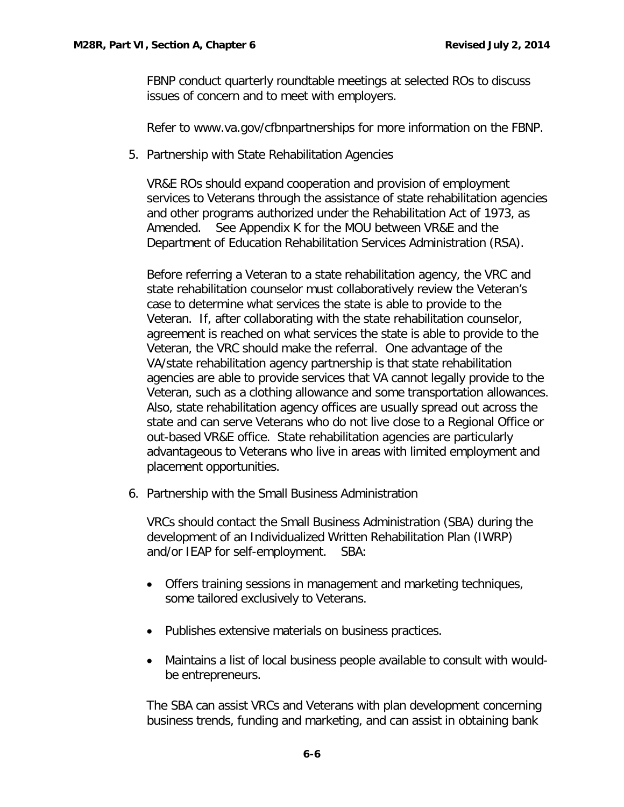FBNP conduct quarterly roundtable meetings at [selected](http://www.va.gov/cfbnpartnerships) ROs to discuss [issues](http://www.va.gov/cfbnpartnerships) of concern and to meet with employers.

Refer to [www.va.gov/cfbnpartnerships](http://www.va.gov/cfbnpartnerships) for more information on the FBNP.

5. Partnership with State Rehabilitation Agencies

VR&E ROs should expand cooperation and provision of employment services to Veterans through the assistance of state rehabilitation agencies and other programs authorized under the Rehabilitation Act of 1973, as Amended. See Appendix K for the MOU between VR&E and the Department of Education Rehabilitation Services Administration (RSA).

Before referring a Veteran to a state rehabilitation agency, the VRC and state rehabilitation counselor must collaboratively review the Veteran's case to determine what services the state is able to provide to the Veteran. If, after collaborating with the state rehabilitation counselor, agreement is reached on what services the state is able to provide to the Veteran, the VRC should make the referral. One advantage of the VA/state rehabilitation agency partnership is that state rehabilitation agencies are able to provide services that VA cannot legally provide to the Veteran, such as a clothing allowance and some transportation allowances. Also, state rehabilitation agency offices are usually spread out across the state and can serve Veterans who do not live close to a Regional Office or out-based VR&E office. State rehabilitation agencies are particularly advantageous to Veterans who live in areas with limited employment and placement opportunities.

6. Partnership with the Small Business Administration

VRCs should contact the Small Business Administration (SBA) during the development of an Individualized Written Rehabilitation Plan (IWRP) and/or IEAP for self-employment. SBA:

- Offers training sessions in management and marketing techniques, some tailored exclusively to Veterans.
- Publishes extensive materials on business practices.
- Maintains a list of local business people available to consult with wouldbe entrepreneurs.

The SBA can assist VRCs and Veterans with plan development concerning business trends, funding and marketing, and can assist in [obtaining](http://www.sba.gov/) bank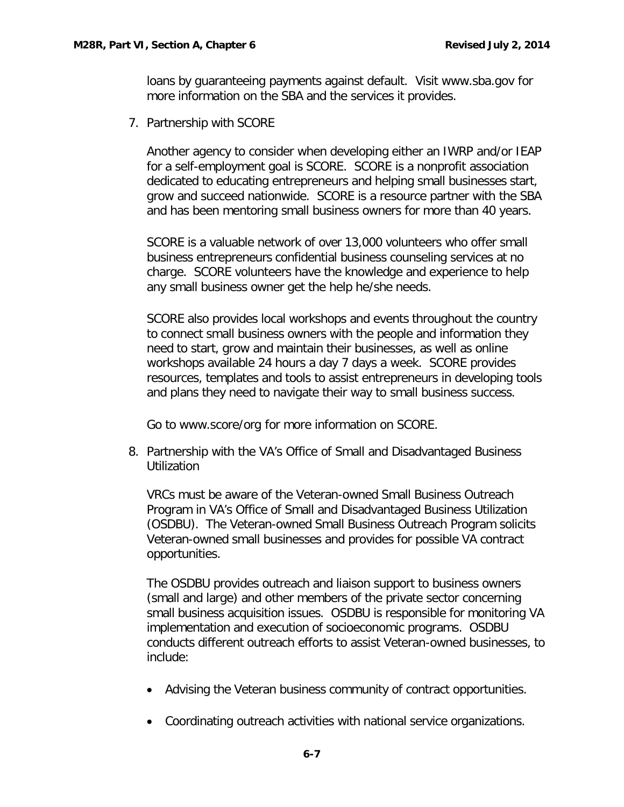loans by guaranteeing payments against default. Visit [www.sba.gov](http://www.sba.gov/) for more information on the SBA and the services it provides.

7. Partnership with SCORE

Another agency to consider when developing either an IWRP and/or IEAP for a self-employment goal is SCORE. SCORE is a nonprofit association dedicated to educating entrepreneurs and helping small businesses start, grow and succeed nationwide. SCORE is a resource partner with the SBA and has been mentoring small business owners for more than 40 years.

SCORE is a valuable network of over 13,000 volunteers who offer small business entrepreneurs confidential business counseling services at no charge. SCORE volunteers have the knowledge and experience to help any small business owner get the help he/she needs.

SCORE also provides local workshops and events throughout the country to connect small business owners with the people and information they need to start, grow and maintain their businesses, as well as online workshops available 24 hours a day 7 days a week. SCORE provides resources, templates and tools to assist entrepreneurs in developing tools and plans they need to navigate their way to small business success.

Go to www.score/org for more information on SCORE.

8. Partnership with the VA's Office of Small and Disadvantaged Business **Utilization** 

VRCs must be aware of the Veteran-owned Small Business Outreach Program in VA's Office of Small and Disadvantaged Business Utilization (OSDBU). The Veteran-owned Small Business Outreach Program solicits Veteran-owned small businesses and provides for possible VA contract opportunities.

The OSDBU provides outreach and liaison support to business owners (small and large) and other members of the private sector concerning small business acquisition issues. OSDBU is responsible for monitoring VA implementation and execution of socioeconomic programs. OSDBU conducts different outreach efforts to assist Veteran-owned businesses, to include:

- Advising the Veteran business community of contract opportunities.
- Coordinating outreach activities with national service organizations.